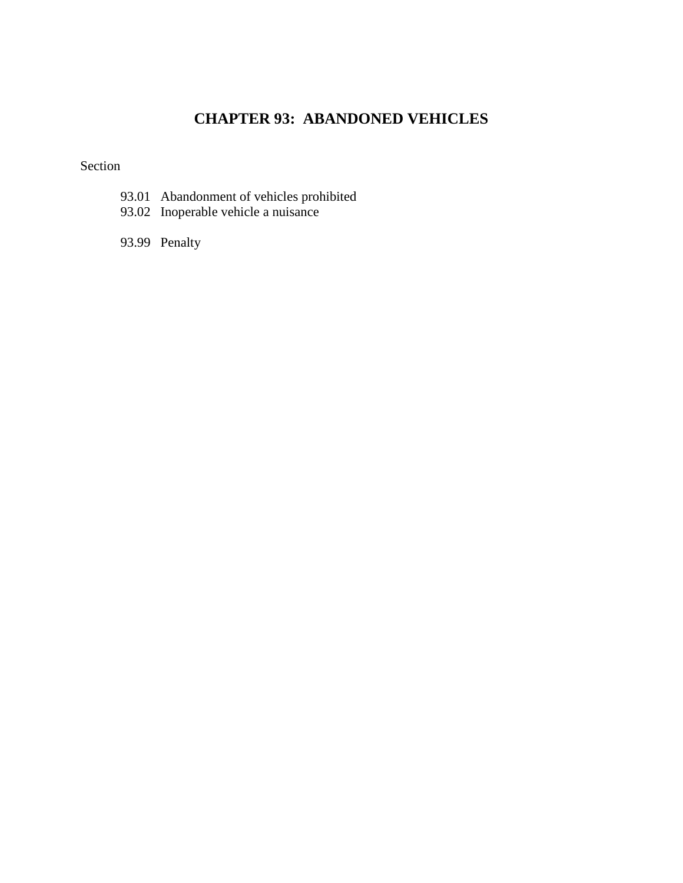# **CHAPTER 93: ABANDONED VEHICLES**

#### Section

- 93.01 Abandonment of vehicles prohibited
- 93.02 Inoperable vehicle a nuisance
- 93.99 Penalty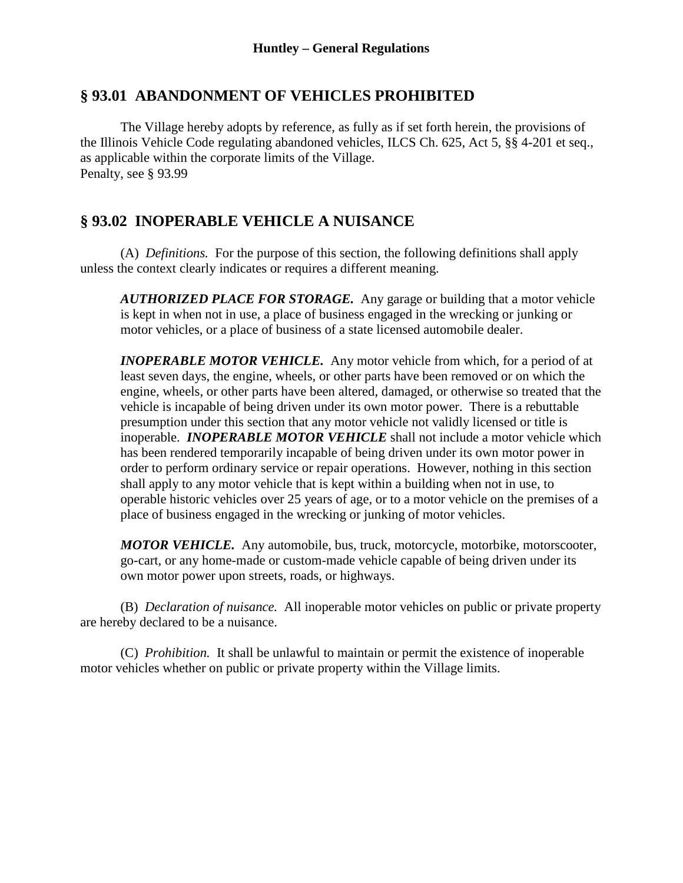### **§ 93.01 ABANDONMENT OF VEHICLES PROHIBITED**

The Village hereby adopts by reference, as fully as if set forth herein, the provisions of the Illinois Vehicle Code regulating abandoned vehicles, ILCS Ch. 625, Act 5, §§ 4-201 et seq., as applicable within the corporate limits of the Village. Penalty, see § 93.99

# **§ 93.02 INOPERABLE VEHICLE A NUISANCE**

(A) *Definitions.* For the purpose of this section, the following definitions shall apply unless the context clearly indicates or requires a different meaning.

*AUTHORIZED PLACE FOR STORAGE.* Any garage or building that a motor vehicle is kept in when not in use, a place of business engaged in the wrecking or junking or motor vehicles, or a place of business of a state licensed automobile dealer.

*INOPERABLE MOTOR VEHICLE.* Any motor vehicle from which, for a period of at least seven days, the engine, wheels, or other parts have been removed or on which the engine, wheels, or other parts have been altered, damaged, or otherwise so treated that the vehicle is incapable of being driven under its own motor power. There is a rebuttable presumption under this section that any motor vehicle not validly licensed or title is inoperable. *INOPERABLE MOTOR VEHICLE* shall not include a motor vehicle which has been rendered temporarily incapable of being driven under its own motor power in order to perform ordinary service or repair operations. However, nothing in this section shall apply to any motor vehicle that is kept within a building when not in use, to operable historic vehicles over 25 years of age, or to a motor vehicle on the premises of a place of business engaged in the wrecking or junking of motor vehicles.

*MOTOR VEHICLE.* Any automobile, bus, truck, motorcycle, motorbike, motorscooter, go-cart, or any home-made or custom-made vehicle capable of being driven under its own motor power upon streets, roads, or highways.

(B) *Declaration of nuisance.* All inoperable motor vehicles on public or private property are hereby declared to be a nuisance.

(C) *Prohibition.* It shall be unlawful to maintain or permit the existence of inoperable motor vehicles whether on public or private property within the Village limits.